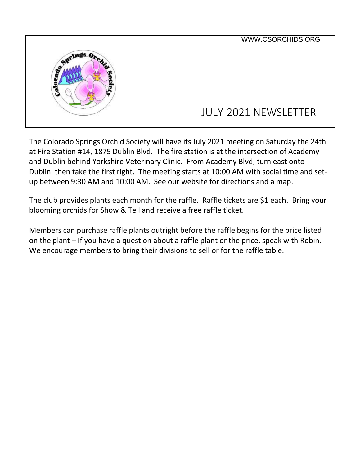

The Colorado Springs Orchid Society will have its July 2021 meeting on Saturday the 24th at Fire Station #14, 1875 Dublin Blvd. The fire station is at the intersection of Academy and Dublin behind Yorkshire Veterinary Clinic. From Academy Blvd, turn east onto Dublin, then take the first right. The meeting starts at 10:00 AM with social time and setup between 9:30 AM and 10:00 AM. See our website for directions and a map.

The club provides plants each month for the raffle. Raffle tickets are \$1 each. Bring your blooming orchids for Show & Tell and receive a free raffle ticket.

Members can purchase raffle plants outright before the raffle begins for the price listed on the plant – If you have a question about a raffle plant or the price, speak with Robin. We encourage members to bring their divisions to sell or for the raffle table.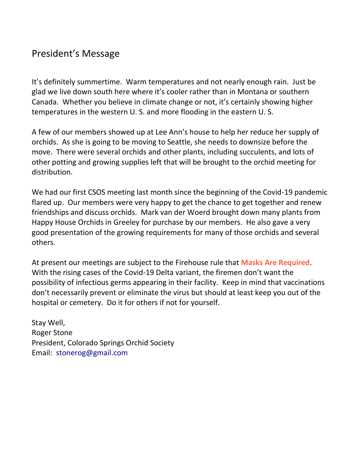## President's Message

It's definitely summertime. Warm temperatures and not nearly enough rain. Just be glad we live down south here where it's cooler rather than in Montana or southern Canada. Whether you believe in climate change or not, it's certainly showing higher temperatures in the western U. S. and more flooding in the eastern U. S.

A few of our members showed up at Lee Ann's house to help her reduce her supply of orchids. As she is going to be moving to Seattle, she needs to downsize before the move. There were several orchids and other plants, including succulents, and lots of other potting and growing supplies left that will be brought to the orchid meeting for distribution.

We had our first CSOS meeting last month since the beginning of the Covid-19 pandemic flared up. Our members were very happy to get the chance to get together and renew friendships and discuss orchids. Mark van der Woerd brought down many plants from Happy House Orchids in Greeley for purchase by our members. He also gave a very good presentation of the growing requirements for many of those orchids and several others.

At present our meetings are subject to the Firehouse rule that **Masks Are Required**. With the rising cases of the Covid-19 Delta variant, the firemen don't want the possibility of infectious germs appearing in their facility. Keep in mind that vaccinations don't necessarily prevent or eliminate the virus but should at least keep you out of the hospital or cemetery. Do it for others if not for yourself.

Stay Well, Roger Stone President, [Colorado Springs Orchid Society](http://csorchids.org/) Email: stonerog@gmail.com